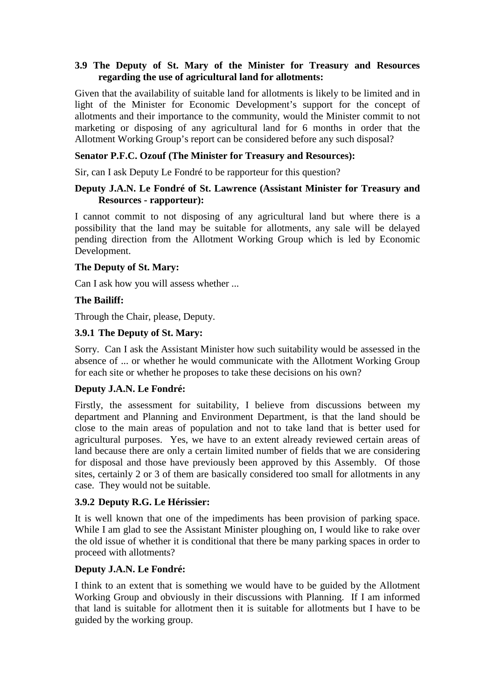# **3.9 The Deputy of St. Mary of the Minister for Treasury and Resources regarding the use of agricultural land for allotments:**

Given that the availability of suitable land for allotments is likely to be limited and in light of the Minister for Economic Development's support for the concept of allotments and their importance to the community, would the Minister commit to not marketing or disposing of any agricultural land for 6 months in order that the Allotment Working Group's report can be considered before any such disposal?

# **Senator P.F.C. Ozouf (The Minister for Treasury and Resources):**

Sir, can I ask Deputy Le Fondré to be rapporteur for this question?

# **Deputy J.A.N. Le Fondré of St. Lawrence (Assistant Minister for Treasury and Resources - rapporteur):**

I cannot commit to not disposing of any agricultural land but where there is a possibility that the land may be suitable for allotments, any sale will be delayed pending direction from the Allotment Working Group which is led by Economic Development.

# **The Deputy of St. Mary:**

Can I ask how you will assess whether ...

# **The Bailiff:**

Through the Chair, please, Deputy.

# **3.9.1 The Deputy of St. Mary:**

Sorry. Can I ask the Assistant Minister how such suitability would be assessed in the absence of ... or whether he would communicate with the Allotment Working Group for each site or whether he proposes to take these decisions on his own?

#### **Deputy J.A.N. Le Fondré:**

Firstly, the assessment for suitability, I believe from discussions between my department and Planning and Environment Department, is that the land should be close to the main areas of population and not to take land that is better used for agricultural purposes. Yes, we have to an extent already reviewed certain areas of land because there are only a certain limited number of fields that we are considering for disposal and those have previously been approved by this Assembly. Of those sites, certainly 2 or 3 of them are basically considered too small for allotments in any case. They would not be suitable.

# **3.9.2 Deputy R.G. Le Hérissier:**

It is well known that one of the impediments has been provision of parking space. While I am glad to see the Assistant Minister ploughing on, I would like to rake over the old issue of whether it is conditional that there be many parking spaces in order to proceed with allotments?

#### **Deputy J.A.N. Le Fondré:**

I think to an extent that is something we would have to be guided by the Allotment Working Group and obviously in their discussions with Planning. If I am informed that land is suitable for allotment then it is suitable for allotments but I have to be guided by the working group.